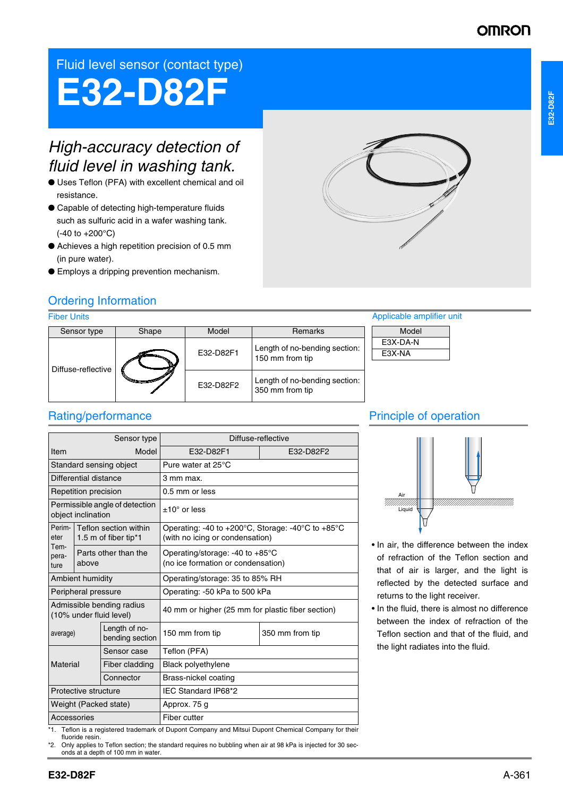## **OMROI**

## Fluid level sensor (contact type)

# **E32-D82F**

# *High-accuracy detection of fluid level in washing tank.*

- Uses Teflon (PFA) with excellent chemical and oil resistance.
- Capable of detecting high-temperature fluids such as sulfuric acid in a wafer washing tank. (-40 to +200°C)
- Achieves a high repetition precision of 0.5 mm (in pure water).
- Employs a dripping prevention mechanism.



## Ordering Information

### Fiber Units

| <b>Fiber Units</b> |       |                  |                                                  | Applicable amplifier unit |
|--------------------|-------|------------------|--------------------------------------------------|---------------------------|
| Sensor type        | Shape | Model<br>Remarks |                                                  | Model                     |
| Diffuse-reflective |       | E32-D82F1        | Length of no-bending section:<br>150 mm from tip | E3X-DA-N<br>E3X-NA        |
|                    |       | E32-D82F2        | Length of no-bending section:<br>350 mm from tip |                           |

## Rating/performance

| Model<br>E32-D82F1<br>E32-D82F2<br>Item<br>Standard sensing object<br>Pure water at 25°C<br>Differential distance<br>3 mm max.<br>Repetition precision<br>0.5 mm or less<br>Permissible angle of detection<br>$±10^{\circ}$ or less<br>object inclination<br>Perim-<br>Teflon section within<br>Operating: -40 to +200 $^{\circ}$ C, Storage: -40 $^{\circ}$ C to +85 $^{\circ}$ C<br>eter<br>(with no icing or condensation)<br>1.5 m of fiber tip*1<br>Tem-<br>Parts other than the |
|---------------------------------------------------------------------------------------------------------------------------------------------------------------------------------------------------------------------------------------------------------------------------------------------------------------------------------------------------------------------------------------------------------------------------------------------------------------------------------------|
|                                                                                                                                                                                                                                                                                                                                                                                                                                                                                       |
|                                                                                                                                                                                                                                                                                                                                                                                                                                                                                       |
|                                                                                                                                                                                                                                                                                                                                                                                                                                                                                       |
|                                                                                                                                                                                                                                                                                                                                                                                                                                                                                       |
|                                                                                                                                                                                                                                                                                                                                                                                                                                                                                       |
|                                                                                                                                                                                                                                                                                                                                                                                                                                                                                       |
| Operating/storage: -40 to $+85^{\circ}$ C<br>pera-<br>(no ice formation or condensation)<br>above<br>ture                                                                                                                                                                                                                                                                                                                                                                             |
| Ambient humidity<br>Operating/storage: 35 to 85% RH                                                                                                                                                                                                                                                                                                                                                                                                                                   |
| Peripheral pressure<br>Operating: -50 kPa to 500 kPa                                                                                                                                                                                                                                                                                                                                                                                                                                  |
| Admissible bending radius<br>40 mm or higher (25 mm for plastic fiber section)<br>(10% under fluid level)                                                                                                                                                                                                                                                                                                                                                                             |
| Length of no-<br>150 mm from tip<br>350 mm from tip<br>average)<br>bending section                                                                                                                                                                                                                                                                                                                                                                                                    |
| Teflon (PFA)<br>Sensor case                                                                                                                                                                                                                                                                                                                                                                                                                                                           |
| Material<br>Black polyethylene<br>Fiber cladding                                                                                                                                                                                                                                                                                                                                                                                                                                      |
| Brass-nickel coating<br>Connector                                                                                                                                                                                                                                                                                                                                                                                                                                                     |
| IEC Standard IP68*2<br>Protective structure                                                                                                                                                                                                                                                                                                                                                                                                                                           |
| Weight (Packed state)<br>Approx. 75 g                                                                                                                                                                                                                                                                                                                                                                                                                                                 |
| Accessories<br>Fiber cutter                                                                                                                                                                                                                                                                                                                                                                                                                                                           |

## Principle of operation



- In air, the difference between the index of refraction of the Teflon section and that of air is larger, and the light is reflected by the detected surface and returns to the light receiver.
- In the fluid, there is almost no difference between the index of refraction of the Teflon section and that of the fluid, and the light radiates into the fluid.

Teflon is a registered trademark of Dupont Company and Mitsui Dupont Chemical Company for their fluoride resin.

\*2. Only applies to Teflon section; the standard requires no bubbling when air at 98 kPa is injected for 30 seconds at a depth of 100 mm in water.